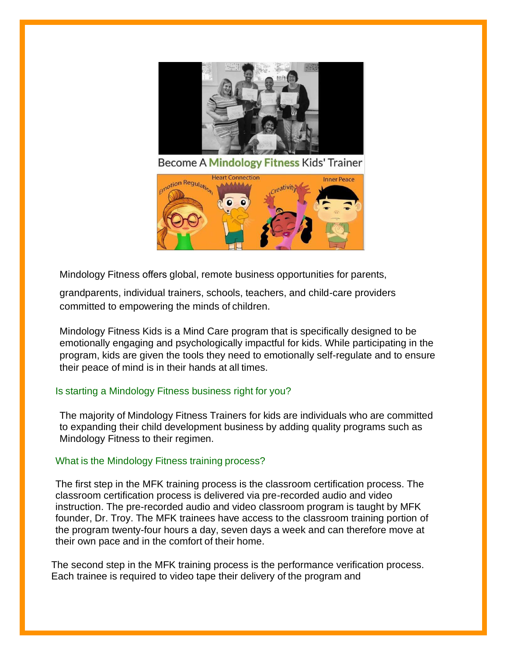

Mindology Fitness offers global, remote business opportunities for parents,

grandparents, individual trainers, schools, teachers, and child-care providers committed to empowering the minds of children.

Mindology Fitness Kids is a Mind Care program that is specifically designed to be emotionally engaging and psychologically impactful for kids. While participating in the program, kids are given the tools they need to emotionally self-regulate and to ensure their peace of mind is in their hands at all times.

# Is starting a Mindology Fitness business right for you?

The majority of Mindology Fitness Trainers for kids are individuals who are committed to expanding their child development business by adding quality programs such as Mindology Fitness to their regimen.

## What is the Mindology Fitness training process?

The first step in the MFK training process is the classroom certification process. The classroom certification process is delivered via pre-recorded audio and video instruction. The pre-recorded audio and video classroom program is taught by MFK founder, Dr. Troy. The MFK trainees have access to the classroom training portion of the program twenty-four hours a day, seven days a week and can therefore move at their own pace and in the comfort of their home.

The second step in the MFK training process is the performance verification process. Each trainee is required to video tape their delivery of the program and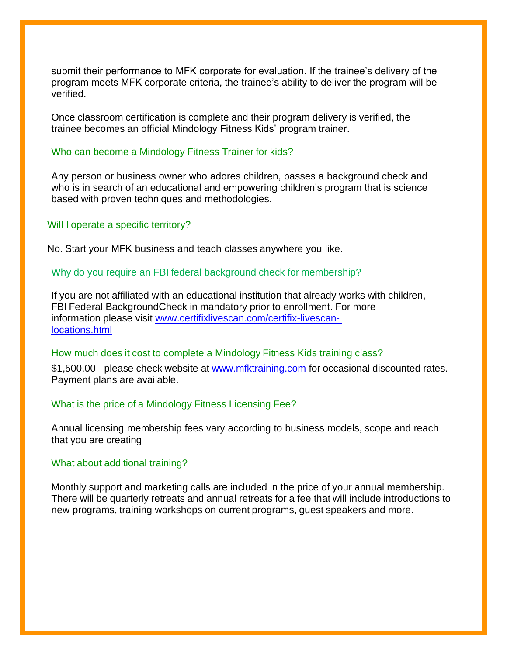submit their performance to MFK corporate for evaluation. If the trainee's delivery of the program meets MFK corporate criteria, the trainee's ability to deliver the program will be verified.

Once classroom certification is complete and their program delivery is verified, the trainee becomes an official Mindology Fitness Kids' program trainer.

## Who can become a Mindology Fitness Trainer for kids?

Any person or business owner who adores children, passes a background check and who is in search of an educational and empowering children's program that is science based with proven techniques and methodologies.

## Will I operate a specific territory?

No. Start your MFK business and teach classes anywhere you like.

## Why do you require an FBI federal background check for membership?

If you are not affiliated with an educational institution that already works with children, FBI Federal BackgroundCheck in mandatory prior to enrollment. For more information please visit [www.certifixlivescan.com/certifix-livescan](http://www.certifixlivescan.com/certifix-livescan-%20locations.html)[locations.html](http://www.certifixlivescan.com/certifix-livescan-%20locations.html)

### How much does it cost to complete a Mindology Fitness Kids training class?

\$1,500.00 - please check website at [www.mfktraining.com](http://www.mfktraining.com/) for occasional discounted rates. Payment plans are available.

### What is the price of a Mindology Fitness Licensing Fee?

Annual licensing membership fees vary according to business models, scope and reach that you are creating

### What about additional training?

Monthly support and marketing calls are included in the price of your annual membership. There will be quarterly retreats and annual retreats for a fee that will include introductions to new programs, training workshops on current programs, guest speakers and more.